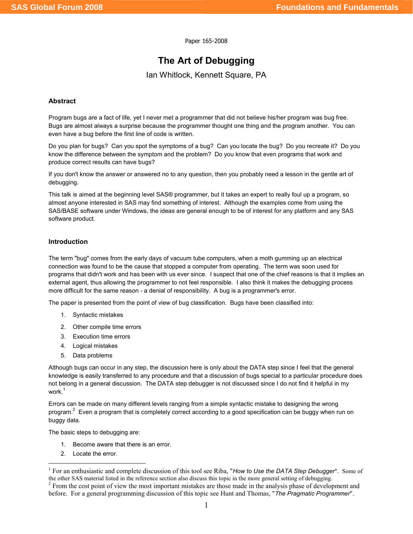Paper 165-2008

# The Art of Debugging

Ian Whitlock, Kennett Square, PA

### Abstract

Program bugs are a fact of life, yet I never met a programmer that did not believe his/her program was bug free. Bugs are almost always a surprise because the programmer thought one thing and the program another. You can even have a bug before the first line of code is written.

Do you plan for bugs? Can you spot the symptoms of a bug? Can you locate the bug? Do you recreate it? Do you know the difference between the symptom and the problem? Do you know that even programs that work and produce correct results can have bugs?

If you don't know the answer or answered no to any question, then you probably need a lesson in the gentle art of debugging.

This talk is aimed at the beginning level SAS® programmer, but it takes an expert to really foul up a program, so almost anyone interested in SAS may find something of interest. Although the examples come from using the SAS/BASE software under Windows, the ideas are general enough to be of interest for any platform and any SAS software product.

# Introduction

The term "bug" comes from the early days of vacuum tube computers, when a moth gumming up an electrical connection was found to be the cause that stopped a computer from operating. The term was soon used for programs that didn't work and has been with us ever since. I suspect that one of the chief reasons is that it implies an external agent, thus allowing the programmer to not feel responsible. I also think it makes the debugging process more difficult for the same reason - a denial of responsibility. A bug is a programmer's error.

The paper is presented from the point of view of bug classification. Bugs have been classified into:

- 1. Syntactic mistakes
- 2. Other compile time errors
- 3. Execution time errors
- 4. Logical mistakes
- 5. Data problems

Although bugs can occur in any step, the discussion here is only about the DATA step since I feel that the general knowledge is easily transferred to any procedure and that a discussion of bugs special to a particular procedure does not belong in a general discussion. The DATA step debugger is not discussed since I do not find it helpful in my work.<sup>1</sup>

Errors can be made on many different levels ranging from a simple syntactic mistake to designing the wrong program.<sup>2</sup> Even a program that is completely correct according to a good specification can be buggy when run on buggy data.

The basic steps to debugging are:

- 1. Become aware that there is an error.
- 2. Locate the error.

 $\overline{a}$ 

<sup>&</sup>lt;sup>1</sup> For an enthusiastic and complete discussion of this tool see Riba, "How to Use the DATA Step Debugger". Some of the other SAS material listed in the reference section also discuss this topic in the more general setting of debugging.  $2^2$  From the cost point of view the most important mistakes are those made in the analysis phase of development and

before. For a general programming discussion of this topic see Hunt and Thomas, "The Pragmatic Programmer".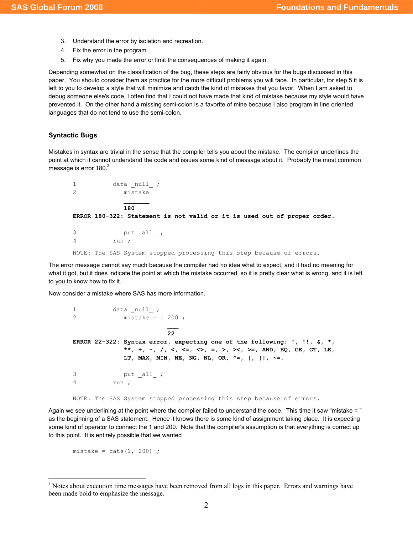- 3. Understand the error by isolation and recreation.
- 4. Fix the error in the program.
- 5. Fix why you made the error or limit the consequences of making it again.

Depending somewhat on the classification of the bug, these steps are fairly obvious for the bugs discussed in this paper. You should consider them as practice for the more difficult problems you will face. In particular, for step 5 it is left to you to develop a style that will minimize and catch the kind of mistakes that you favor. When I am asked to debug someone else's code, I often find that I could not have made that kind of mistake because my style would have prevented it. On the other hand a missing semi-colon is a favorite of mine because I also program in line oriented languages that do not tend to use the semi-colon.

### Syntactic Bugs

Mistakes in syntax are trivial in the sense that the compiler tells you about the mistake. The compiler underlines the point at which it cannot understand the code and issues some kind of message about it. Probably the most common message is error 180.<sup>3</sup>

1 data null ; 2 mistake \_\_\_\_\_\_\_ 180 ERROR 180-322: Statement is not valid or it is used out of proper order. 3 put \_all\_ ;

4 run ;

NOTE: The SAS System stopped processing this step because of errors.

The error message cannot say much because the compiler had no idea what to expect, and it had no meaning for what it got, but it does indicate the point at which the mistake occurred, so it is pretty clear what is wrong, and it is left to you to know how to fix it.

Now consider a mistake where SAS has more information.

```
1 data _null_ ;
2 mistake = 1 200 ; 
 ___ 
                      22 
ERROR 22-322: Syntax error, expecting one of the following: !, !!, \xi, *\,**, +, -, /, <, <=, <>, =, >, ><, >=, AND, EQ, GE, GT, LE,
            LT, MAX, MIN, NE, NG, NL, OR, ^{\wedge}=, |, |, ^{\sim}=.
3    put _all_ ;
4 run ;
```
NOTE: The SAS System stopped processing this step because of errors.

Again we see underlining at the point where the compiler failed to understand the code. This time it saw "mistake = " as the beginning of a SAS statement. Hence it knows there is some kind of assignment taking place. It is expecting some kind of operator to connect the 1 and 200. Note that the compiler's assumption is that everything is correct up to this point. It is entirely possible that we wanted

mistake =  $\text{ cats}(1, 200)$  ;

l

<sup>&</sup>lt;sup>3</sup> Notes about execution time messages have been removed from all logs in this paper. Errors and warnings have been made bold to emphasize the message.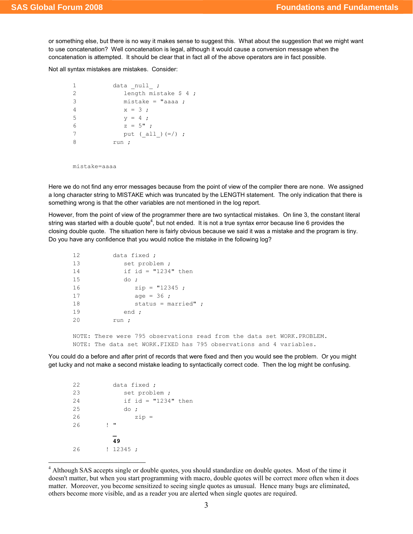or something else, but there is no way it makes sense to suggest this. What about the suggestion that we might want to use concatenation? Well concatenation is legal, although it would cause a conversion message when the concatenation is attempted. It should be clear that in fact all of the above operators are in fact possible.

Not all syntax mistakes are mistakes. Consider:

```
1 data _null_ ;
2 length mistake $ 4 ;
3 mistake = "aaaa ; 
4 x = 3;5 y = 4;
6 z = 5";
7 put (all)(=7) ;8 run ;
```
mistake=aaaa

Here we do not find any error messages because from the point of view of the compiler there are none. We assigned a long character string to MISTAKE which was truncated by the LENGTH statement. The only indication that there is something wrong is that the other variables are not mentioned in the log report.

However, from the point of view of the programmer there are two syntactical mistakes. On line 3, the constant literal string was started with a double quote<sup>4</sup>, but not ended. It is not a true syntax error because line 6 provides the closing double quote. The situation here is fairly obvious because we said it was a mistake and the program is tiny. Do you have any confidence that you would notice the mistake in the following log?

| 12 | data fixed ;                                                           |
|----|------------------------------------------------------------------------|
| 13 | set problem;                                                           |
| 14 | if id = $"1234"$ then                                                  |
| 15 | do:                                                                    |
| 16 | $zip = "12345 ;$                                                       |
| 17 | age = $36$ ;                                                           |
| 18 | status = married" $\cdot$                                              |
| 19 | end ;                                                                  |
| 20 | run ;                                                                  |
|    |                                                                        |
|    | NOTE: There were 795 observations read from the data set WORK.PROBLEM. |
|    | NOTE: The data set WORK. FIXED has 795 observations and 4 variables.   |

You could do a before and after print of records that were fixed and then you would see the problem. Or you might get lucky and not make a second mistake leading to syntactically correct code. Then the log might be confusing.

| 22 | data fixed ;        |
|----|---------------------|
| 23 | set problem;        |
| 24 | if id = "1234" then |
| 25 | do ;                |
| 26 | $zip =$             |
| 26 | п<br>L              |
|    |                     |
|    | 49                  |
| 26 | ! 12345;            |
|    |                     |

 $\overline{a}$ 

<sup>&</sup>lt;sup>4</sup> Although SAS accepts single or double quotes, you should standardize on double quotes. Most of the time it doesn't matter, but when you start programming with macro, double quotes will be correct more often when it does matter. Moreover, you become sensitized to seeing single quotes as unusual. Hence many bugs are eliminated, others become more visible, and as a reader you are alerted when single quotes are required.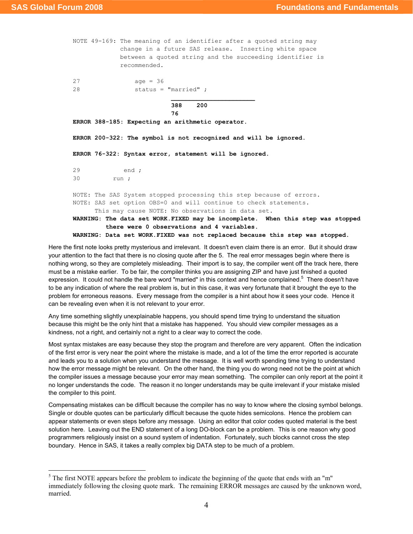$\overline{a}$ 

NOTE 49-169: The meaning of an identifier after a quoted string may change in a future SAS release. Inserting white space between a quoted string and the succeeding identifier is recommended. 27 age = 36 28 status = "married" ;  $\mathcal{L}_\text{max}$  and  $\mathcal{L}_\text{max}$  are the set of  $\mathcal{L}_\text{max}$  . The set of  $\mathcal{L}_\text{max}$  388 200 76 ERROR 388-185: Expecting an arithmetic operator. ERROR 200-322: The symbol is not recognized and will be ignored. ERROR 76-322: Syntax error, statement will be ignored. 29 end ; 30 run ; NOTE: The SAS System stopped processing this step because of errors. NOTE: SAS set option OBS=0 and will continue to check statements. This may cause NOTE: No observations in data set. WARNING: The data set WORK.FIXED may be incomplete. When this step was stopped there were 0 observations and 4 variables. WARNING: Data set WORK.FIXED was not replaced because this step was stopped.

Here the first note looks pretty mysterious and irrelevant. It doesn't even claim there is an error. But it should draw your attention to the fact that there is no closing quote after the 5. The real error messages begin where there is nothing wrong, so they are completely misleading. Their import is to say, the compiler went off the track here, there must be a mistake earlier. To be fair, the compiler thinks you are assigning ZIP and have just finished a quoted expression. It could not handle the bare word "married" in this context and hence complained.<sup>5</sup> There doesn't have to be any indication of where the real problem is, but in this case, it was very fortunate that it brought the eye to the problem for erroneous reasons. Every message from the compiler is a hint about how it sees your code. Hence it can be revealing even when it is not relevant to your error.

Any time something slightly unexplainable happens, you should spend time trying to understand the situation because this might be the only hint that a mistake has happened. You should view compiler messages as a kindness, not a right, and certainly not a right to a clear way to correct the code.

Most syntax mistakes are easy because they stop the program and therefore are very apparent. Often the indication of the first error is very near the point where the mistake is made, and a lot of the time the error reported is accurate and leads you to a solution when you understand the message. It is well worth spending time trying to understand how the error message might be relevant. On the other hand, the thing you do wrong need not be the point at which the compiler issues a message because your error may mean something. The compiler can only report at the point it no longer understands the code. The reason it no longer understands may be quite irrelevant if your mistake misled the compiler to this point.

Compensating mistakes can be difficult because the compiler has no way to know where the closing symbol belongs. Single or double quotes can be particularly difficult because the quote hides semicolons. Hence the problem can appear statements or even steps before any message. Using an editor that color codes quoted material is the best solution here. Leaving out the END statement of a long DO-block can be a problem. This is one reason why good programmers religiously insist on a sound system of indentation. Fortunately, such blocks cannot cross the step boundary. Hence in SAS, it takes a really complex big DATA step to be much of a problem.

 $<sup>5</sup>$  The first NOTE appears before the problem to indicate the beginning of the quote that ends with an "m"</sup> immediately following the closing quote mark. The remaining ERROR messages are caused by the unknown word, married.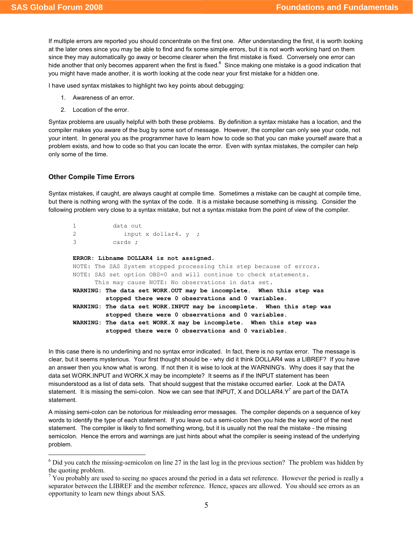If multiple errors are reported you should concentrate on the first one. After understanding the first, it is worth looking at the later ones since you may be able to find and fix some simple errors, but it is not worth working hard on them since they may automatically go away or become clearer when the first mistake is fixed. Conversely one error can hide another that only becomes apparent when the first is fixed. $^6$  Since making one mistake is a good indication that you might have made another, it is worth looking at the code near your first mistake for a hidden one.

I have used syntax mistakes to highlight two key points about debugging:

- 1. Awareness of an error.
- 2. Location of the error.

Syntax problems are usually helpful with both these problems. By definition a syntax mistake has a location, and the compiler makes you aware of the bug by some sort of message. However, the compiler can only see your code, not your intent. In general you as the programmer have to learn how to code so that you can make yourself aware that a problem exists, and how to code so that you can locate the error. Even with syntax mistakes, the compiler can help only some of the time.

### Other Compile Time Errors

 $\overline{a}$ 

Syntax mistakes, if caught, are always caught at compile time. Sometimes a mistake can be caught at compile time, but there is nothing wrong with the syntax of the code. It is a mistake because something is missing. Consider the following problem very close to a syntax mistake, but not a syntax mistake from the point of view of the compiler.

```
1 data out 
2 input x dollar4. y ;
3 cards ; 
ERROR: Libname DOLLAR4 is not assigned. 
NOTE: The SAS System stopped processing this step because of errors. 
NOTE: SAS set option OBS=0 and will continue to check statements. 
      This may cause NOTE: No observations in data set. 
WARNING: The data set WORK.OUT may be incomplete. When this step was
```
 stopped there were 0 observations and 0 variables. WARNING: The data set WORK.INPUT may be incomplete. When this step was stopped there were 0 observations and 0 variables. WARNING: The data set WORK.X may be incomplete. When this step was stopped there were 0 observations and 0 variables.

In this case there is no underlining and no syntax error indicated. In fact, there is no syntax error. The message is clear, but it seems mysterious. Your first thought should be - why did it think DOLLAR4 was a LIBREF? If you have an answer then you know what is wrong. If not then it is wise to look at the WARNING's. Why does it say that the data set WORK.INPUT and WORK.X may be incomplete? It seems as if the INPUT statement has been misunderstood as a list of data sets. That should suggest that the mistake occurred earlier. Look at the DATA statement. It is missing the semi-colon. Now we can see that INPUT, X and DOLLAR4.Y<sup>7</sup> are part of the DATA statement.

A missing semi-colon can be notorious for misleading error messages. The compiler depends on a sequence of key words to identify the type of each statement. If you leave out a semi-colon then you hide the key word of the next statement. The compiler is likely to find something wrong, but it is usually not the real the mistake - the missing semicolon. Hence the errors and warnings are just hints about what the compiler is seeing instead of the underlying problem.

 $6$  Did you catch the missing-semicolon on line 27 in the last log in the previous section? The problem was hidden by the quoting problem.

 $<sup>7</sup>$  You probably are used to seeing no spaces around the period in a data set reference. However the period is really a</sup> separator between the LIBREF and the member reference. Hence, spaces are allowed. You should see errors as an opportunity to learn new things about SAS.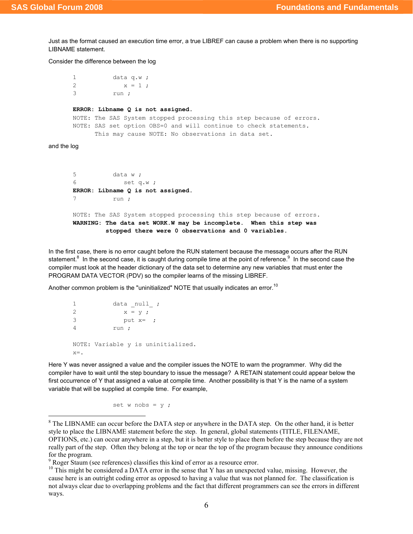Just as the format caused an execution time error, a true LIBREF can cause a problem when there is no supporting LIBNAME statement.

Consider the difference between the log

1 data q.w ; 2  $x = 1;$ 3 run ;

#### ERROR: Libname Q is not assigned.

```
NOTE: The SAS System stopped processing this step because of errors. 
NOTE: SAS set option OBS=0 and will continue to check statements. 
       This may cause NOTE: No observations in data set.
```
and the log

 $\overline{a}$ 

5 data w ; 6 set q.w ; ERROR: Libname Q is not assigned. 7 run ;

NOTE: The SAS System stopped processing this step because of errors. WARNING: The data set WORK.W may be incomplete. When this step was stopped there were 0 observations and 0 variables.

In the first case, there is no error caught before the RUN statement because the message occurs after the RUN statement.<sup>8</sup> In the second case, it is caught during compile time at the point of reference.<sup>9</sup> In the second case the compiler must look at the header dictionary of the data set to determine any new variables that must enter the PROGRAM DATA VECTOR (PDV) so the compiler learns of the missing LIBREF.

Another common problem is the "uninitialized" NOTE that usually indicates an error.<sup>10</sup>

```
1 data _null_ ;
2 x = y;3 put x= ;
4 run ; 
NOTE: Variable y is uninitialized. 
x =.
```
Here Y was never assigned a value and the compiler issues the NOTE to warn the programmer. Why did the compiler have to wait until the step boundary to issue the message? A RETAIN statement could appear below the first occurrence of Y that assigned a value at compile time. Another possibility is that Y is the name of a system variable that will be supplied at compile time. For example,

set w nobs =  $y$  ;

<sup>&</sup>lt;sup>8</sup> The LIBNAME can occur before the DATA step or anywhere in the DATA step. On the other hand, it is better style to place the LIBNAME statement before the step. In general, global statements (TITLE, FILENAME, OPTIONS, etc.) can occur anywhere in a step, but it is better style to place them before the step because they are not really part of the step. Often they belong at the top or near the top of the program because they announce conditions for the program.

<sup>&</sup>lt;sup>9</sup> Roger Staum (see references) classifies this kind of error as a resource error.

 $10$  This might be considered a DATA error in the sense that Y has an unexpected value, missing. However, the cause here is an outright coding error as opposed to having a value that was not planned for. The classification is not always clear due to overlapping problems and the fact that different programmers can see the errors in different ways.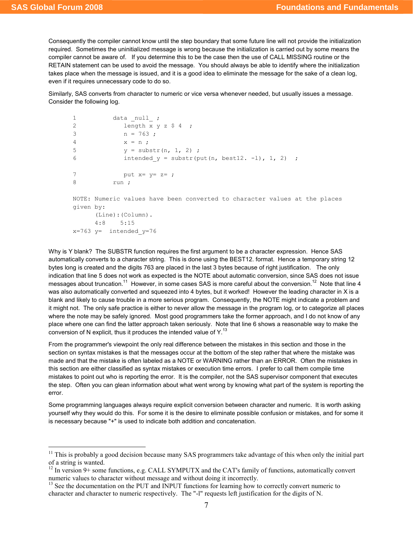$\overline{a}$ 

Consequently the compiler cannot know until the step boundary that some future line will not provide the initialization required. Sometimes the uninitialized message is wrong because the initialization is carried out by some means the compiler cannot be aware of. If you determine this to be the case then the use of CALL MISSING routine or the RETAIN statement can be used to avoid the message. You should always be able to identify where the initialization takes place when the message is issued, and it is a good idea to eliminate the message for the sake of a clean log, even if it requires unnecessary code to do so.

Similarly, SAS converts from character to numeric or vice versa whenever needed, but usually issues a message. Consider the following log.

```
1 data _null_ ;
2 length x y z $ 4 ;
3 n = 763;
4 x = n ; 
5 y = substr(n, 1, 2);
6 intended y = substr(put(n, best12. -1), 1, 2) ;
7 put x= y= z= ;8 run ; 
NOTE: Numeric values have been converted to character values at the places 
given by: 
     (Line):(Column). 
     4:8 5:15 
x=763 y= intended y=76
```
Why is Y blank? The SUBSTR function requires the first argument to be a character expression. Hence SAS automatically converts to a character string. This is done using the BEST12. format. Hence a temporary string 12 bytes long is created and the digits 763 are placed in the last 3 bytes because of right justification. The only indication that line 5 does not work as expected is the NOTE about automatic conversion, since SAS does not issue messages about truncation.<sup>11</sup> However, in some cases SAS is more careful about the conversion.<sup>12</sup> Note that line 4 was also automatically converted and squeezed into 4 bytes, but it worked! However the leading character in X is a blank and likely to cause trouble in a more serious program. Consequently, the NOTE might indicate a problem and it might not. The only safe practice is either to never allow the message in the program log, or to categorize all places where the note may be safely ignored. Most good programmers take the former approach, and I do not know of any place where one can find the latter approach taken seriously. Note that line 6 shows a reasonable way to make the conversion of N explicit, thus it produces the intended value of  $Y<sup>13</sup>$ 

From the programmer's viewpoint the only real difference between the mistakes in this section and those in the section on syntax mistakes is that the messages occur at the bottom of the step rather that where the mistake was made and that the mistake is often labeled as a NOTE or WARNING rather than an ERROR. Often the mistakes in this section are either classified as syntax mistakes or execution time errors. I prefer to call them compile time mistakes to point out who is reporting the error. It is the compiler, not the SAS supervisor component that executes the step. Often you can glean information about what went wrong by knowing what part of the system is reporting the error.

Some programming languages always require explicit conversion between character and numeric. It is worth asking yourself why they would do this. For some it is the desire to eliminate possible confusion or mistakes, and for some it is necessary because "+" is used to indicate both addition and concatenation.

 $11$  This is probably a good decision because many SAS programmers take advantage of this when only the initial part of a string is wanted.

<sup>&</sup>lt;sup>12</sup> In version 9+ some functions, e.g. CALL SYMPUTX and the CAT's family of functions, automatically convert numeric values to character without message and without doing it incorrectly.

<sup>&</sup>lt;sup>13</sup> See the documentation on the PUT and INPUT functions for learning how to correctly convert numeric to character and character to numeric respectively. The "-l" requests left justification for the digits of N.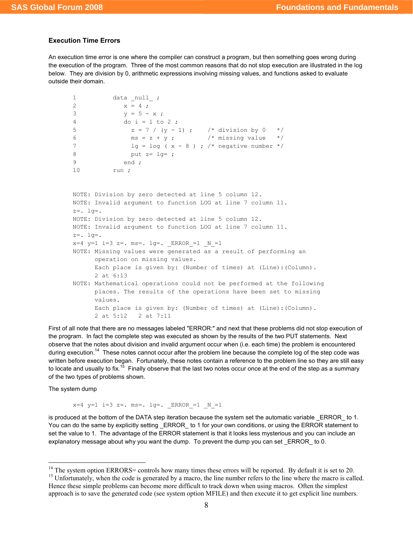#### Execution Time Errors

An execution time error is one where the compiler can construct a program, but then something goes wrong during the execution of the program. Three of the most common reasons that do not stop execution are illustrated in the log below. They are division by 0, arithmetic expressions involving missing values, and functions asked to evaluate outside their domain.

```
1 data null ;
2 x = 4;3 y = 5 - x;4 do i = 1 to 2 ; 
5 z = 7 / (y - 1); /* division by 0 */
6 ms = z + y ; \frac{1}{x} missing value \frac{x}{x}7 lg = log ( x - 8 ) ; /* negative number */
8 put z= 1g= ;9 end ; 
10 run ; 
NOTE: Division by zero detected at line 5 column 12. 
NOTE: Invalid argument to function LOG at line 7 column 11. 
z=. lg=. 
NOTE: Division by zero detected at line 5 column 12. 
NOTE: Invalid argument to function LOG at line 7 column 11. 
z=. lg=.
x=4 y=1 i=3 z=. ms=. 1g=. ERROR =1 N=1NOTE: Missing values were generated as a result of performing an 
      operation on missing values. 
      Each place is given by: (Number of times) at (Line):(Column). 
      2 at 6:13 
NOTE: Mathematical operations could not be performed at the following
```
 places. The results of the operations have been set to missing values. Each place is given by: (Number of times) at (Line):(Column). 2 at 5:12 2 at 7:11

First of all note that there are no messages labeled "ERROR:" and next that these problems did not stop execution of the program. In fact the complete step was executed as shown by the results of the two PUT statements. Next observe that the notes about division and invalid argument occur when (i.e. each time) the problem is encountered during execution.<sup>14</sup> These notes cannot occur after the problem line because the complete log of the step code was written before execution began. Fortunately, these notes contain a reference to the problem line so they are still easy to locate and usually to fix.<sup>15</sup> Finally observe that the last two notes occur once at the end of the step as a summary of the two types of problems shown.

The system dump

 $\overline{a}$ 

 $x=4$   $y=1$   $i=3$   $z=$ .  $ms=$ .  $1g=$ . ERROR  $=1$  N  $=1$ 

is produced at the bottom of the DATA step iteration because the system set the automatic variable ERROR to 1. You can do the same by explicitly setting ERROR to 1 for your own conditions, or using the ERROR statement to set the value to 1. The advantage of the ERROR statement is that it looks less mysterious and you can include an explanatory message about why you want the dump. To prevent the dump you can set ERROR to 0.

 $14$  The system option ERRORS= controls how many times these errors will be reported. By default it is set to 20. <sup>15</sup> Unfortunately, when the code is generated by a macro, the line number refers to the line where the macro is called. Hence these simple problems can become more difficult to track down when using macros. Often the simplest approach is to save the generated code (see system option MFILE) and then execute it to get explicit line numbers.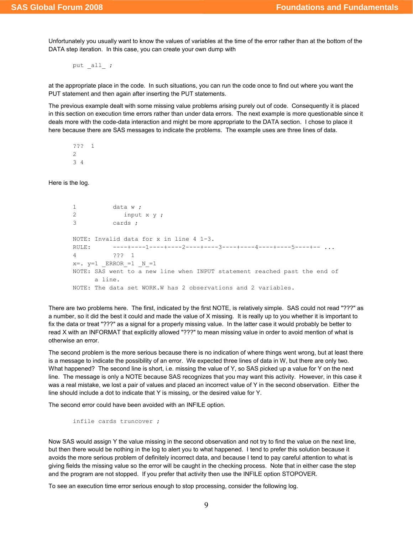Unfortunately you usually want to know the values of variables at the time of the error rather than at the bottom of the DATA step iteration. In this case, you can create your own dump with

put all ;

at the appropriate place in the code. In such situations, you can run the code once to find out where you want the PUT statement and then again after inserting the PUT statements.

The previous example dealt with some missing value problems arising purely out of code. Consequently it is placed in this section on execution time errors rather than under data errors. The next example is more questionable since it deals more with the code-data interaction and might be more appropriate to the DATA section. I chose to place it here because there are SAS messages to indicate the problems. The example uses are three lines of data.

??? 1 2 3 4

Here is the log.

```
1 data w ;
2 input x y ; 
3 cards ; 
NOTE: Invalid data for x in line 4 1-3. 
RULE: -----+----1----+----2----+----3----+----4----+----5----+-- ...
4 ??? 1 
x=. y=1 ERROR_1=1 N_1=1NOTE: SAS went to a new line when INPUT statement reached past the end of 
      a line. 
NOTE: The data set WORK.W has 2 observations and 2 variables.
```
There are two problems here. The first, indicated by the first NOTE, is relatively simple. SAS could not read "???" as a number, so it did the best it could and made the value of X missing. It is really up to you whether it is important to fix the data or treat "???" as a signal for a properly missing value. In the latter case it would probably be better to read X with an INFORMAT that explicitly allowed "???" to mean missing value in order to avoid mention of what is otherwise an error.

The second problem is the more serious because there is no indication of where things went wrong, but at least there is a message to indicate the possibility of an error. We expected three lines of data in W, but there are only two. What happened? The second line is short, i.e. missing the value of Y, so SAS picked up a value for Y on the next line. The message is only a NOTE because SAS recognizes that you may want this activity. However, in this case it was a real mistake, we lost a pair of values and placed an incorrect value of Y in the second observation. Either the line should include a dot to indicate that Y is missing, or the desired value for Y.

The second error could have been avoided with an INFILE option.

infile cards truncover ;

Now SAS would assign Y the value missing in the second observation and not try to find the value on the next line, but then there would be nothing in the log to alert you to what happened. I tend to prefer this solution because it avoids the more serious problem of definitely incorrect data, and because I tend to pay careful attention to what is giving fields the missing value so the error will be caught in the checking process. Note that in either case the step and the program are not stopped. If you prefer that activity then use the INFILE option STOPOVER.

To see an execution time error serious enough to stop processing, consider the following log.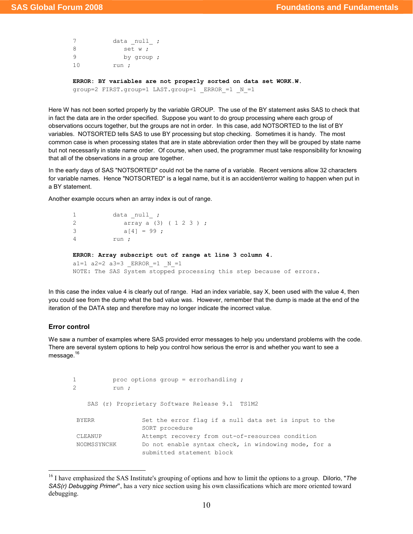```
7 data _null_ ;
8 set w;
9 by group ; 
10 run ; 
ERROR: BY variables are not properly sorted on data set WORK.W. 
group=2 FIRST.group=1 LAST.group=1 ERROR =1 N =1
```
Here W has not been sorted properly by the variable GROUP. The use of the BY statement asks SAS to check that in fact the data are in the order specified. Suppose you want to do group processing where each group of observations occurs together, but the groups are not in order. In this case, add NOTSORTED to the list of BY variables. NOTSORTED tells SAS to use BY processing but stop checking. Sometimes it is handy. The most common case is when processing states that are in state abbreviation order then they will be grouped by state name but not necessarily in state name order. Of course, when used, the programmer must take responsibility for knowing that all of the observations in a group are together.

In the early days of SAS "NOTSORTED" could not be the name of a variable. Recent versions allow 32 characters for variable names. Hence "NOTSORTED" is a legal name, but it is an accident/error waiting to happen when put in a BY statement.

Another example occurs when an array index is out of range.

```
1 data _null_ ;
2 array a (3) ( 1 2 3 ) ; 
3 a[4] = 99;
4 run ; 
ERROR: Array subscript out of range at line 3 column 4. 
a1=1 a2=2 a3=3 ERROR =1 N =1NOTE: The SAS System stopped processing this step because of errors.
```
In this case the index value 4 is clearly out of range. Had an index variable, say X, been used with the value 4, then you could see from the dump what the bad value was. However, remember that the dump is made at the end of the iteration of the DATA step and therefore may no longer indicate the incorrect value.

#### Error control

 $\overline{a}$ 

We saw a number of examples where SAS provided error messages to help you understand problems with the code. There are several system options to help you control how serious the error is and whether you want to see a message.<sup>16</sup>

```
1 proc options group = errorhandling ;
2 run ; 
    SAS (r) Proprietary Software Release 9.1 TS1M2
BYERR Set the error flag if a null data set is input to the
                  SORT procedure 
 CLEANUP Attempt recovery from out-of-resources condition 
 NODMSSYNCHK Do not enable syntax check, in windowing mode, for a 
                  submitted statement block
```
<sup>&</sup>lt;sup>16</sup> I have emphasized the SAS Institute's grouping of options and how to limit the options to a group. Dilorio, "The SAS(r) Debugging Primer", has a very nice section using his own classifications which are more oriented toward debugging.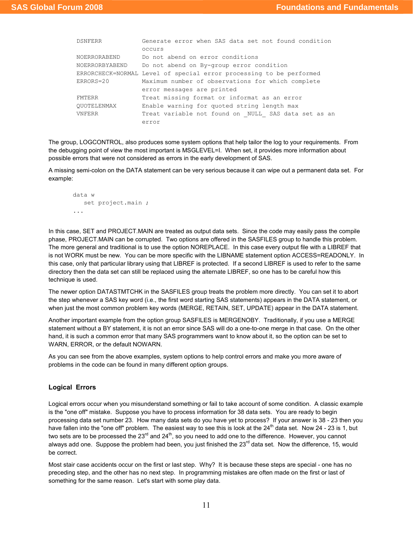| <b>DSNFERR</b>      | Generate error when SAS data set not found condition                |  |  |
|---------------------|---------------------------------------------------------------------|--|--|
|                     | occurs                                                              |  |  |
| <b>NOERRORABEND</b> | Do not abend on error conditions                                    |  |  |
| NOERRORBYABEND      | Do not abend on By-group error condition                            |  |  |
|                     | ERRORCHECK=NORMAL Level of special error processing to be performed |  |  |
| ERRORS=20           | Maximum number of observations for which complete                   |  |  |
|                     | error messages are printed                                          |  |  |
| <b>FMTERR</b>       | Treat missing format or informat as an error                        |  |  |
| OUOTELENMAX         | Enable warning for quoted string length max                         |  |  |
| <b>VNFERR</b>       | Treat variable not found on NULL SAS data set as an                 |  |  |
|                     | error                                                               |  |  |

The group, LOGCONTROL, also produces some system options that help tailor the log to your requirements. From the debugging point of view the most important is MSGLEVEL=I. When set, it provides more information about possible errors that were not considered as errors in the early development of SAS.

A missing semi-colon on the DATA statement can be very serious because it can wipe out a permanent data set. For example:

```
data w 
    set project.main ; 
...
```
In this case, SET and PROJECT.MAIN are treated as output data sets. Since the code may easily pass the compile phase, PROJECT.MAIN can be corrupted. Two options are offered in the SASFILES group to handle this problem. The more general and traditional is to use the option NOREPLACE. In this case every output file with a LIBREF that is not WORK must be new. You can be more specific with the LIBNAME statement option ACCESS=READONLY. In this case, only that particular library using that LIBREF is protected. If a second LIBREF is used to refer to the same directory then the data set can still be replaced using the alternate LIBREF, so one has to be careful how this technique is used.

The newer option DATASTMTCHK in the SASFILES group treats the problem more directly. You can set it to abort the step whenever a SAS key word (i.e., the first word starting SAS statements) appears in the DATA statement, or when just the most common problem key words (MERGE, RETAIN, SET, UPDATE) appear in the DATA statement.

Another important example from the option group SASFILES is MERGENOBY. Traditionally, if you use a MERGE statement without a BY statement, it is not an error since SAS will do a one-to-one merge in that case. On the other hand, it is such a common error that many SAS programmers want to know about it, so the option can be set to WARN, ERROR, or the default NOWARN.

As you can see from the above examples, system options to help control errors and make you more aware of problems in the code can be found in many different option groups.

#### Logical Errors

Logical errors occur when you misunderstand something or fail to take account of some condition. A classic example is the "one off" mistake. Suppose you have to process information for 38 data sets. You are ready to begin processing data set number 23. How many data sets do you have yet to process? If your answer is 38 - 23 then you have fallen into the "one off" problem. The easiest way to see this is look at the  $24<sup>th</sup>$  data set. Now 24 - 23 is 1, but two sets are to be processed the  $23^{\text{rd}}$  and  $24^{\text{th}}$ , so you need to add one to the difference. However, you cannot always add one. Suppose the problem had been, you just finished the  $23^{rd}$  data set. Now the difference, 15, would be correct.

Most stair case accidents occur on the first or last step. Why? It is because these steps are special - one has no preceding step, and the other has no next step. In programming mistakes are often made on the first or last of something for the same reason. Let's start with some play data.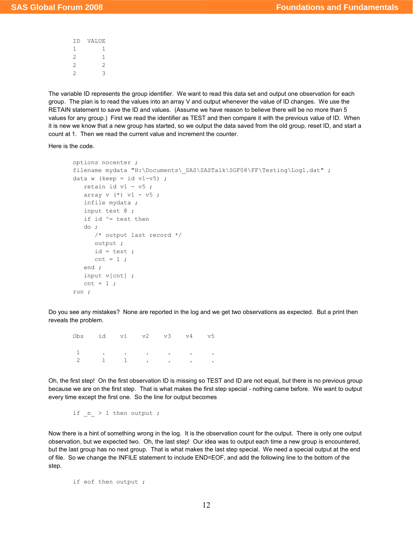| ΙD             | VALUE          |
|----------------|----------------|
| 1              |                |
| $\overline{2}$ |                |
| 2              | $\mathfrak{D}$ |
| 2              | 3              |

The variable ID represents the group identifier. We want to read this data set and output one observation for each group. The plan is to read the values into an array V and output whenever the value of ID changes. We use the RETAIN statement to save the ID and values. (Assume we have reason to believe there will be no more than 5 values for any group.) First we read the identifier as TEST and then compare it with the previous value of ID. When it is new we know that a new group has started, so we output the data saved from the old group, reset ID, and start a count at 1. Then we read the current value and increment the counter.

Here is the code.

```
options nocenter ; 
filename mydata "H:\Documents\ SAS\SASTalk\SGF08\FF\Testing\Log1.dat" ;
data w (keep = id v1-v5) ;
   retain id v1 - v5 ; 
  array v (*) v1 - v5;
   infile mydata ; 
   input test @ ; 
   if id ^= test then 
    do ; 
       /* output last record */ 
       output ; 
     id = test;cnt = 1;
    end ; 
    input v[cnt] ; 
   cnt + 1;
run ;
```
Do you see any mistakes? None are reported in the log and we get two observations as expected. But a print then reveals the problem.

Obs id v1 v2 v3 v4 v5 1 . . . . . . 2 1 1 . . . .

Oh, the first step! On the first observation ID is missing so TEST and ID are not equal, but there is no previous group because we are on the first step. That is what makes the first step special - nothing came before. We want to output every time except the first one. So the line for output becomes

if  $n > 1$  then output ;

Now there is a hint of something wrong in the log. It is the observation count for the output. There is only one output observation, but we expected two. Oh, the last step! Our idea was to output each time a new group is encountered, but the last group has no next group. That is what makes the last step special. We need a special output at the end of file. So we change the INFILE statement to include END=EOF, and add the following line to the bottom of the step.

if eof then output ;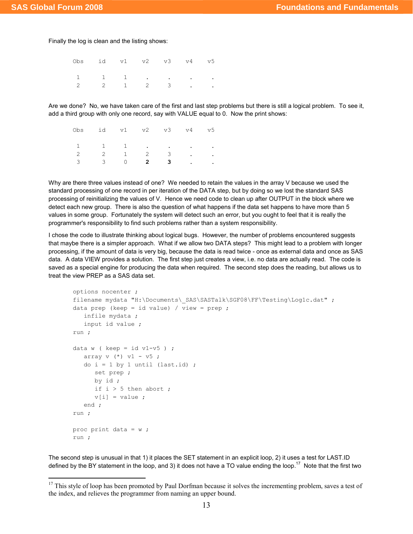l

Finally the log is clean and the listing shows:

| Obs id v1 v2 v3 v4 v5                                                               |  |  |  |
|-------------------------------------------------------------------------------------|--|--|--|
| $\begin{array}{cccccccccccccc} 1 & & 1 & & 1 & & . & . & . & . & . & . \end{array}$ |  |  |  |
| $\begin{array}{cccccccccccccc} 2 & 2 & 1 & 2 & 3 & . & . \end{array}$               |  |  |  |

Are we done? No, we have taken care of the first and last step problems but there is still a logical problem. To see it, add a third group with only one record, say with VALUE equal to 0. Now the print shows:

| Obs id v1 v2 v3 v4 v5                                                           |  |  |  |
|---------------------------------------------------------------------------------|--|--|--|
| $\begin{array}{cccccccccccccc} 1 & & 1 & & 1 & & . & . & . & . & . \end{array}$ |  |  |  |
| $\begin{array}{cccccccccccccc} 2 & 2 & 1 & 2 & 3 & . & . \end{array}$           |  |  |  |
| $3 \qquad 3 \qquad 0 \qquad 2 \qquad 3 \qquad . \qquad .$                       |  |  |  |

Why are there three values instead of one? We needed to retain the values in the array V because we used the standard processing of one record in per iteration of the DATA step, but by doing so we lost the standard SAS processing of reinitializing the values of V. Hence we need code to clean up after OUTPUT in the block where we detect each new group. There is also the question of what happens if the data set happens to have more than 5 values in some group. Fortunately the system will detect such an error, but you ought to feel that it is really the programmer's responsibility to find such problems rather than a system responsibility.

I chose the code to illustrate thinking about logical bugs. However, the number of problems encountered suggests that maybe there is a simpler approach. What if we allow two DATA steps? This might lead to a problem with longer processing, if the amount of data is very big, because the data is read twice - once as external data and once as SAS data. A data VIEW provides a solution. The first step just creates a view, i.e. no data are actually read. The code is saved as a special engine for producing the data when required. The second step does the reading, but allows us to treat the view PREP as a SAS data set.

```
options nocenter ; 
filename mydata "H:\Documents\ SAS\SASTalk\SGF08\FF\Testing\Log1c.dat" ;
data prep (keep = id value) / view = prep ;
    infile mydata ; 
    input id value ; 
run ; 
data w ( keep = id v1-v5 ) ;
   array v (*) v1 - v5;
   do i = 1 by 1 until (last.id) ;
      set prep ; 
       by id ; 
     if i > 5 then abort ;
     v[i] = value ;
    end ; 
run ; 
proc print data = w ; 
run ;
```
The second step is unusual in that 1) it places the SET statement in an explicit loop, 2) it uses a test for LAST.ID defined by the BY statement in the loop, and 3) it does not have a TO value ending the loop.<sup>17</sup> Note that the first two

 $17$  This style of loop has been promoted by Paul Dorfman because it solves the incrementing problem, saves a test of the index, and relieves the programmer from naming an upper bound.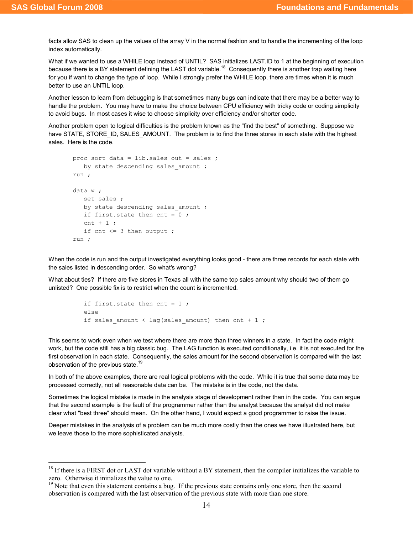$\overline{a}$ 

facts allow SAS to clean up the values of the array V in the normal fashion and to handle the incrementing of the loop index automatically.

What if we wanted to use a WHILE loop instead of UNTIL? SAS initializes LAST.ID to 1 at the beginning of execution because there is a BY statement defining the LAST dot variable.<sup>18</sup> Consequently there is another trap waiting here for you if want to change the type of loop. While I strongly prefer the WHILE loop, there are times when it is much better to use an UNTIL loop.

Another lesson to learn from debugging is that sometimes many bugs can indicate that there may be a better way to handle the problem. You may have to make the choice between CPU efficiency with tricky code or coding simplicity to avoid bugs. In most cases it wise to choose simplicity over efficiency and/or shorter code.

Another problem open to logical difficulties is the problem known as the "find the best" of something. Suppose we have STATE, STORE ID, SALES AMOUNT. The problem is to find the three stores in each state with the highest sales. Here is the code.

```
proc sort data = lib.sales out = sales ; 
   by state descending sales amount ;
run ; 
data w ; 
    set sales ; 
   by state descending sales amount ;
    if first.state then cnt = 0 ; 
   cnt + 1 \cdotif cnt \leq 3 then output ;
run ;
```
When the code is run and the output investigated everything looks good - there are three records for each state with the sales listed in descending order. So what's wrong?

What about ties? If there are five stores in Texas all with the same top sales amount why should two of them go unlisted? One possible fix is to restrict when the count is incremented.

```
 if first.state then cnt = 1 ; 
 else 
if sales amount < lag(sales amount) then cnt + 1 ;
```
This seems to work even when we test where there are more than three winners in a state. In fact the code might work, but the code still has a big classic bug. The LAG function is executed conditionally, i.e. it is not executed for the first observation in each state. Consequently, the sales amount for the second observation is compared with the last observation of the previous state.<sup>19</sup>

In both of the above examples, there are real logical problems with the code. While it is true that some data may be processed correctly, not all reasonable data can be. The mistake is in the code, not the data.

Sometimes the logical mistake is made in the analysis stage of development rather than in the code. You can argue that the second example is the fault of the programmer rather than the analyst because the analyst did not make clear what "best three" should mean. On the other hand, I would expect a good programmer to raise the issue.

Deeper mistakes in the analysis of a problem can be much more costly than the ones we have illustrated here, but we leave those to the more sophisticated analysts.

 $18$  If there is a FIRST dot or LAST dot variable without a BY statement, then the compiler initializes the variable to zero. Otherwise it initializes the value to one.

<sup>&</sup>lt;sup>19</sup> Note that even this statement contains a bug. If the previous state contains only one store, then the second observation is compared with the last observation of the previous state with more than one store.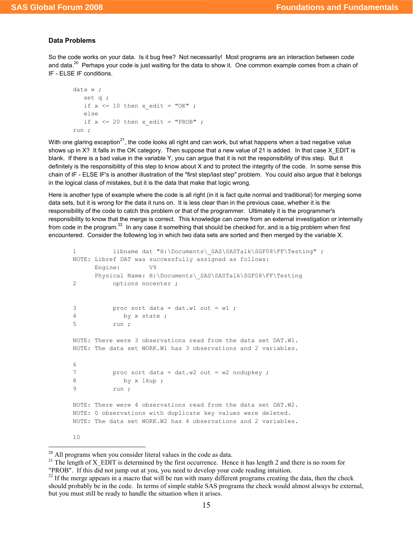#### Data Problems

So the code works on your data. Is it bug free? Not necessarily! Most programs are an interaction between code and data.<sup>20</sup> Perhaps your code is just waiting for the data to show it. One common example comes from a chain of IF - ELSE IF conditions.

```
data w ; 
   set q ; 
   if x \leq 10 then x edit = "OK" ;
    else 
   if x \le 20 then x edit = "PROB" ;
run ;
```
With one glaring exception<sup>21</sup>, the code looks all right and can work, but what happens when a bad negative value shows up in X? It falls in the OK category. Then suppose that a new value of 21 is added. In that case X\_EDIT is blank. If there is a bad value in the variable Y, you can argue that it is not the responsibility of this step. But it definitely is the responsibility of this step to know about X and to protect the integrity of the code. In some sense this chain of IF - ELSE IF's is another illustration of the "first step/last step" problem. You could also argue that it belongs in the logical class of mistakes, but it is the data that make that logic wrong.

Here is another type of example where the code is all right (in it is fact quite normal and traditional) for merging some data sets, but it is wrong for the data it runs on. It is less clear than in the previous case, whether it is the responsibility of the code to catch this problem or that of the programmer. Ultimately it is the programmer's responsibility to know that the merge is correct. This knowledge can come from an external investigation or internally from code in the program.<sup>22</sup> In any case it something that should be checked for, and is a big problem when first encountered. Consider the following log in which two data sets are sorted and then merged by the variable X.

```
1 libname dat "H:\Documents\ SAS\SASTalk\SGF08\FF\Testing" ;
NOTE: Libref DAT was successfully assigned as follows: 
      Engine: V9 
     Physical Name: H:\Documents\ SAS\SASTalk\SGF08\FF\Testing
2 options nocenter ; 
3 proc sort data = dat.w1 out = w1 ;
4 by x state ; 
5 run ; 
NOTE: There were 3 observations read from the data set DAT.W1. 
NOTE: The data set WORK.W1 has 3 observations and 2 variables. 
6 
7 proc sort data = dat.w2 out = w2 nodupkey ;
8 by x lkup;
9 run ; 
NOTE: There were 4 observations read from the data set DAT.W2. 
NOTE: 0 observations with duplicate key values were deleted. 
NOTE: The data set WORK.W2 has 4 observations and 2 variables. 
10
```
 $\overline{a}$ <sup>20</sup> All programs when you consider literal values in the code as data.

<sup>&</sup>lt;sup>21</sup> The length of X\_EDIT is determined by the first occurrence. Hence it has length 2 and there is no room for "PROB". If this did not jump out at you, you need to develop your code reading intuition.

 $22$  If the merge appears in a macro that will be run with many different programs creating the data, then the check should probably be in the code. In terms of simple stable SAS programs the check would almost always be external, but you must still be ready to handle the situation when it arises.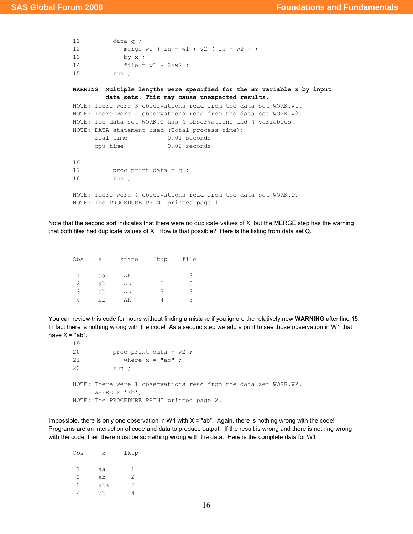```
11 data q ; 
12 merge w1 ( in = w1 ) w2 ( in = w2 ) ;
13 by x ; 
14 file = w1 + 2*w2;
15 run ; 
WARNING: Multiple lengths were specified for the BY variable x by input 
         data sets. This may cause unexpected results. 
NOTE: There were 3 observations read from the data set WORK.W1. 
NOTE: There were 4 observations read from the data set WORK.W2. 
NOTE: The data set WORK.Q has 4 observations and 4 variables. 
NOTE: DATA statement used (Total process time): 
     real time 0.01 seconds
      cpu time 0.02 seconds 
16 
17 proc print data = q ;
18 run ; 
NOTE: There were 4 observations read from the data set WORK.Q. 
NOTE: The PROCEDURE PRINT printed page 1.
```
Note that the second sort indicates that there were no duplicate values of X, but the MERGE step has the warning that both files had duplicate values of X. How is that possible? Here is the listing from data set Q.

| Obs | X  | state | lkup | file |
|-----|----|-------|------|------|
|     |    |       |      |      |
|     | aa | AK    | 1    | 3    |
| 2   | ab | AL    | 2    | 3    |
| 3   | ab | AL    | 3    | 3    |
| 4   | bb | AR    |      | ς    |

You can review this code for hours without finding a mistake if you ignore the relatively new WARNING after line 15. In fact there is nothing wrong with the code! As a second step we add a print to see those observation in W1 that have  $X = "ab".$ 

```
20 proc print data = w2 ;
21 where x = "ab" ;
22 run ; 
NOTE: There were 1 observations read from the data set WORK.W2. 
     WHERE x='ab:
NOTE: The PROCEDURE PRINT printed page 2.
```
Impossible, there is only one observation in W1 with  $X = "ab"$ . Again, there is nothing wrong with the code! Programs are an interaction of code and data to produce output. If the result is wrong and there is nothing wrong with the code, then there must be something wrong with the data. Here is the complete data for W1.

| Obs | X   | lkup |
|-----|-----|------|
|     |     |      |
| 1   | aa  | 1    |
| 2   | ab  | 2    |
| 3   | aba | 3    |
| 4   | bb  | 4    |

19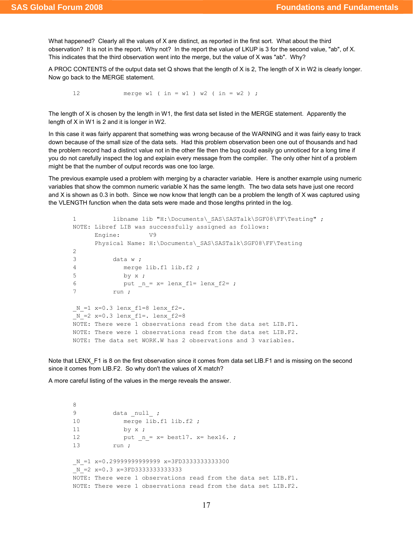What happened? Clearly all the values of X are distinct, as reported in the first sort. What about the third observation? It is not in the report. Why not? In the report the value of LKUP is 3 for the second value, "ab", of X. This indicates that the third observation went into the merge, but the value of X was "ab". Why?

A PROC CONTENTS of the output data set Q shows that the length of X is 2, The length of X in W2 is clearly longer. Now go back to the MERGE statement.

12 merge w1 ( in = w1 ) w2 ( in = w2 ) ;

The length of X is chosen by the length in W1, the first data set listed in the MERGE statement. Apparently the length of X in W1 is 2 and it is longer in W2.

In this case it was fairly apparent that something was wrong because of the WARNING and it was fairly easy to track down because of the small size of the data sets. Had this problem observation been one out of thousands and had the problem record had a distinct value not in the other file then the bug could easily go unnoticed for a long time if you do not carefully inspect the log and explain every message from the compiler. The only other hint of a problem might be that the number of output records was one too large.

The previous example used a problem with merging by a character variable. Here is another example using numeric variables that show the common numeric variable X has the same length. The two data sets have just one record and X is shown as 0.3 in both. Since we now know that length can be a problem the length of X was captured using the VLENGTH function when the data sets were made and those lengths printed in the log.

```
1 libname lib "H:\Documents\ SAS\SASTalk\SGF08\FF\Testing" ;
NOTE: Libref LIB was successfully assigned as follows: 
      Engine: V9 
     Physical Name: H:\Documents\ SAS\SASTalk\SGF08\FF\Testing
2 
3 data w ; 
4 merge lib.f1 lib.f2 ; 
5 by x ; 
6 put _n = x = \text{lenx}_f1 = \text{lenx}_f2 = ;7 run ; 
N_1 = 1 x=0.3 lenxf1=8 lenxf2=.
N_2 = 2 x=0.3 lenx f1 = 0.1enx f2=8NOTE: There were 1 observations read from the data set LIB.F1. 
NOTE: There were 1 observations read from the data set LIB.F2. 
NOTE: The data set WORK.W has 2 observations and 3 variables.
```
Note that LENX F1 is 8 on the first observation since it comes from data set LIB.F1 and is missing on the second since it comes from LIB.F2. So why don't the values of X match?

A more careful listing of the values in the merge reveals the answer.

```
8 
9 data _null_ ;
10 merge lib.f1 lib.f2 ;
11 by x ; 
12 put_{n} = x= best17. x= hex16.13 run ; 
N =1 x=0.29999999999999 x=3FD33333333333300
N = 2 x=0.3 x=3FD33333333333333
NOTE: There were 1 observations read from the data set LIB.F1. 
NOTE: There were 1 observations read from the data set LIB.F2.
```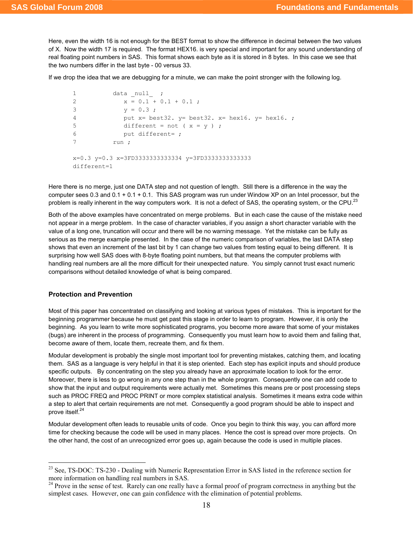Here, even the width 16 is not enough for the BEST format to show the difference in decimal between the two values of X. Now the width 17 is required. The format HEX16. is very special and important for any sound understanding of real floating point numbers in SAS. This format shows each byte as it is stored in 8 bytes. In this case we see that the two numbers differ in the last byte - 00 versus 33.

If we drop the idea that we are debugging for a minute, we can make the point stronger with the following log.

```
1 data null ;
2 X = 0.1 + 0.1 + 0.1;
3 y = 0.3;
4 put x= best32. y= best32. x= hex16. y= hex16. ; 
5 different = not (x = y);
6 put different= ; 
7 run ; 
x=0.3 y=0.3 x=3FD3333333333334 y=3FD3333333333333 
different=1
```
Here there is no merge, just one DATA step and not question of length. Still there is a difference in the way the computer sees 0.3 and 0.1 + 0.1 + 0.1. This SAS program was run under Window XP on an Intel processor, but the problem is really inherent in the way computers work. It is not a defect of SAS, the operating system, or the CPU.<sup>23</sup>

Both of the above examples have concentrated on merge problems. But in each case the cause of the mistake need not appear in a merge problem. In the case of character variables, if you assign a short character variable with the value of a long one, truncation will occur and there will be no warning message. Yet the mistake can be fully as serious as the merge example presented. In the case of the numeric comparison of variables, the last DATA step shows that even an increment of the last bit by 1 can change two values from testing equal to being different. It is surprising how well SAS does with 8-byte floating point numbers, but that means the computer problems with handling real numbers are all the more difficult for their unexpected nature. You simply cannot trust exact numeric comparisons without detailed knowledge of what is being compared.

# Protection and Prevention

 $\overline{a}$ 

Most of this paper has concentrated on classifying and looking at various types of mistakes. This is important for the beginning programmer because he must get past this stage in order to learn to program. However, it is only the beginning. As you learn to write more sophisticated programs, you become more aware that some of your mistakes (bugs) are inherent in the process of programming. Consequently you must learn how to avoid them and failing that, become aware of them, locate them, recreate them, and fix them.

Modular development is probably the single most important tool for preventing mistakes, catching them, and locating them. SAS as a language is very helpful in that it is step oriented. Each step has explicit inputs and should produce specific outputs. By concentrating on the step you already have an approximate location to look for the error. Moreover, there is less to go wrong in any one step than in the whole program. Consequently one can add code to show that the input and output requirements were actually met. Sometimes this means pre or post processing steps such as PROC FREQ and PROC PRINT or more complex statistical analysis. Sometimes it means extra code within a step to alert that certain requirements are not met. Consequently a good program should be able to inspect and prove itself.<sup>24</sup>

Modular development often leads to reusable units of code. Once you begin to think this way, you can afford more time for checking because the code will be used in many places. Hence the cost is spread over more projects. On the other hand, the cost of an unrecognized error goes up, again because the code is used in multiple places.

<sup>&</sup>lt;sup>23</sup> See, TS-DOC: TS-230 - Dealing with Numeric Representation Error in SAS listed in the reference section for more information on handling real numbers in SAS.

<sup>&</sup>lt;sup>24</sup> Prove in the sense of test. Rarely can one really have a formal proof of program correctness in anything but the simplest cases. However, one can gain confidence with the elimination of potential problems.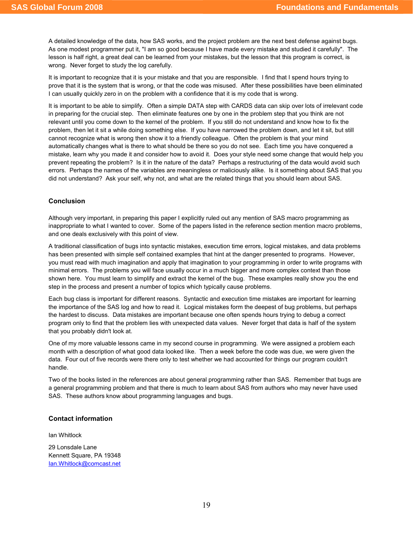A detailed knowledge of the data, how SAS works, and the project problem are the next best defense against bugs. As one modest programmer put it, "I am so good because I have made every mistake and studied it carefully". The lesson is half right, a great deal can be learned from your mistakes, but the lesson that this program is correct, is wrong. Never forget to study the log carefully.

It is important to recognize that it is your mistake and that you are responsible. I find that I spend hours trying to prove that it is the system that is wrong, or that the code was misused. After these possibilities have been eliminated I can usually quickly zero in on the problem with a confidence that it is my code that is wrong.

It is important to be able to simplify. Often a simple DATA step with CARDS data can skip over lots of irrelevant code in preparing for the crucial step. Then eliminate features one by one in the problem step that you think are not relevant until you come down to the kernel of the problem. If you still do not understand and know how to fix the problem, then let it sit a while doing something else. If you have narrowed the problem down, and let it sit, but still cannot recognize what is wrong then show it to a friendly colleague. Often the problem is that your mind automatically changes what is there to what should be there so you do not see. Each time you have conquered a mistake, learn why you made it and consider how to avoid it. Does your style need some change that would help you prevent repeating the problem? Is it in the nature of the data? Perhaps a restructuring of the data would avoid such errors. Perhaps the names of the variables are meaningless or maliciously alike. Is it something about SAS that you did not understand? Ask your self, why not, and what are the related things that you should learn about SAS.

# Conclusion

Although very important, in preparing this paper I explicitly ruled out any mention of SAS macro programming as inappropriate to what I wanted to cover. Some of the papers listed in the reference section mention macro problems, and one deals exclusively with this point of view.

A traditional classification of bugs into syntactic mistakes, execution time errors, logical mistakes, and data problems has been presented with simple self contained examples that hint at the danger presented to programs. However, you must read with much imagination and apply that imagination to your programming in order to write programs with minimal errors. The problems you will face usually occur in a much bigger and more complex context than those shown here. You must learn to simplify and extract the kernel of the bug. These examples really show you the end step in the process and present a number of topics which typically cause problems.

Each bug class is important for different reasons. Syntactic and execution time mistakes are important for learning the importance of the SAS log and how to read it. Logical mistakes form the deepest of bug problems, but perhaps the hardest to discuss. Data mistakes are important because one often spends hours trying to debug a correct program only to find that the problem lies with unexpected data values. Never forget that data is half of the system that you probably didn't look at.

One of my more valuable lessons came in my second course in programming. We were assigned a problem each month with a description of what good data looked like. Then a week before the code was due, we were given the data. Four out of five records were there only to test whether we had accounted for things our program couldn't handle.

Two of the books listed in the references are about general programming rather than SAS. Remember that bugs are a general programming problem and that there is much to learn about SAS from authors who may never have used SAS. These authors know about programming languages and bugs.

#### Contact information

Ian Whitlock

29 Lonsdale Lane Kennett Square, PA 19348 Ian.Whitlock@comcast.net